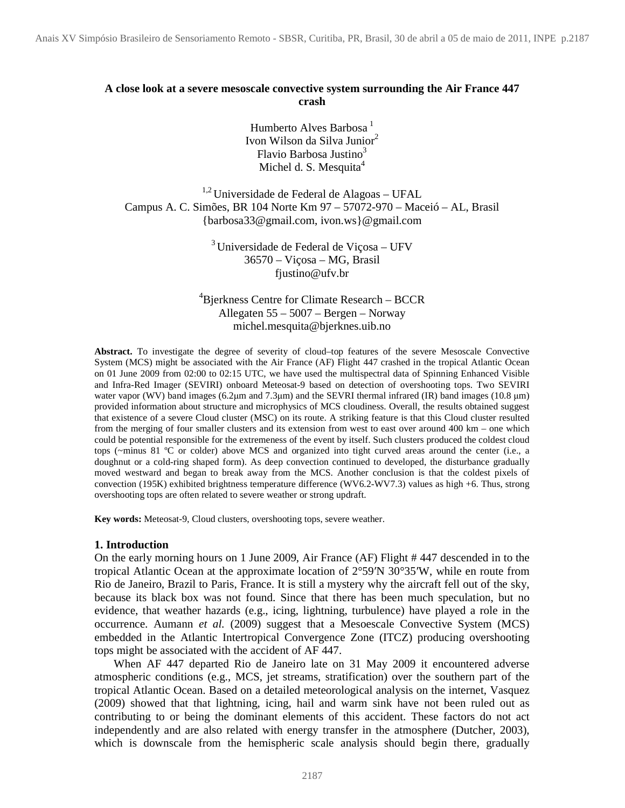# **A close look at a severe mesoscale convective system surrounding the Air France 447 crash**

Humberto Alves Barbosa $<sup>1</sup>$ </sup> Ivon Wilson da Silva Junior<sup>2</sup> Flavio Barbosa Justino $3$ Michel d. S. Mesquita<sup>4</sup>

 $1,2$  Universidade de Federal de Alagoas – UFAL Campus A. C. Simões, BR 104 Norte Km 97 – 57072-970 – Maceió – AL, Brasil {barbosa33@gmail.com, ivon.ws}@gmail.com

> $3$  Universidade de Federal de Viçosa – UFV 36570 – Viçosa – MG, Brasil fjustino@ufv.br

<sup>4</sup>Bjerkness Centre for Climate Research – BCCR Allegaten 55 – 5007 – Bergen – Norway michel.mesquita@bjerknes.uib.no

**Abstract.** To investigate the degree of severity of cloud–top features of the severe Mesoscale Convective System (MCS) might be associated with the Air France (AF) Flight 447 crashed in the tropical Atlantic Ocean on 01 June 2009 from 02:00 to 02:15 UTC, we have used the multispectral data of Spinning Enhanced Visible and Infra-Red Imager (SEVIRI) onboard Meteosat-9 based on detection of overshooting tops. Two SEVIRI water vapor (WV) band images (6.2µm and 7.3µm) and the SEVRI thermal infrared (IR) band images (10.8 µm) provided information about structure and microphysics of MCS cloudiness. Overall, the results obtained suggest that existence of a severe Cloud cluster (MSC) on its route. A striking feature is that this Cloud cluster resulted from the merging of four smaller clusters and its extension from west to east over around 400 km – one which could be potential responsible for the extremeness of the event by itself. Such clusters produced the coldest cloud tops (~minus 81 ºC or colder) above MCS and organized into tight curved areas around the center (i.e., a doughnut or a cold-ring shaped form). As deep convection continued to developed, the disturbance gradually moved westward and began to break away from the MCS. Another conclusion is that the coldest pixels of convection (195K) exhibited brightness temperature difference (WV6.2-WV7.3) values as high +6. Thus, strong overshooting tops are often related to severe weather or strong updraft.

**Key words:** Meteosat-9, Cloud clusters, overshooting tops, severe weather.

# **1. Introduction**

On the early morning hours on 1 June 2009, Air France (AF) Flight # 447 descended in to the tropical Atlantic Ocean at the approximate location of 2°59′N 30°35′W, while en route from Rio de Janeiro, Brazil to Paris, France. It is still a mystery why the aircraft fell out of the sky, because its black box was not found. Since that there has been much speculation, but no evidence, that weather hazards (e.g., icing, lightning, turbulence) have played a role in the occurrence. Aumann *et al.* (2009) suggest that a Mesoescale Convective System (MCS) embedded in the Atlantic Intertropical Convergence Zone (ITCZ) producing overshooting tops might be associated with the accident of AF 447.

When AF 447 departed Rio de Janeiro late on 31 May 2009 it encountered adverse atmospheric conditions (e.g., MCS, jet streams, stratification) over the southern part of the tropical Atlantic Ocean. Based on a detailed meteorological analysis on the internet, Vasquez (2009) showed that that lightning, icing, hail and warm sink have not been ruled out as contributing to or being the dominant elements of this accident. These factors do not act independently and are also related with energy transfer in the atmosphere (Dutcher, 2003), which is downscale from the hemispheric scale analysis should begin there, gradually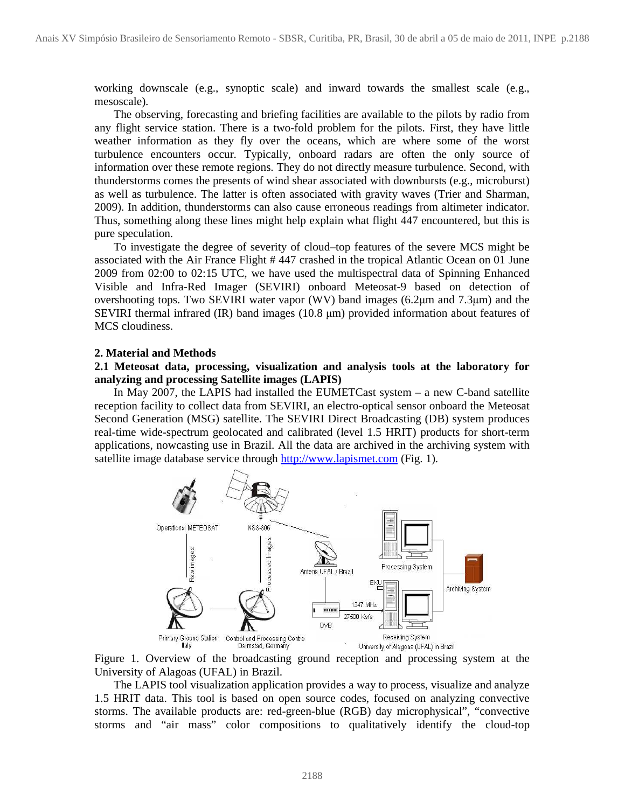working downscale (e.g., synoptic scale) and inward towards the smallest scale (e.g., mesoscale).

The observing, forecasting and briefing facilities are available to the pilots by radio from any flight service station. There is a two-fold problem for the pilots. First, they have little weather information as they fly over the oceans, which are where some of the worst turbulence encounters occur. Typically, onboard radars are often the only source of information over these remote regions. They do not directly measure turbulence. Second, with thunderstorms comes the presents of wind shear associated with downbursts (e.g., microburst) as well as turbulence. The latter is often associated with gravity waves (Trier and Sharman, 2009). In addition, thunderstorms can also cause erroneous readings from altimeter indicator. Thus, something along these lines might help explain what flight 447 encountered, but this is pure speculation.

To investigate the degree of severity of cloud–top features of the severe MCS might be associated with the Air France Flight # 447 crashed in the tropical Atlantic Ocean on 01 June 2009 from 02:00 to 02:15 UTC, we have used the multispectral data of Spinning Enhanced Visible and Infra-Red Imager (SEVIRI) onboard Meteosat-9 based on detection of overshooting tops. Two SEVIRI water vapor (WV) band images (6.2µm and 7.3µm) and the SEVIRI thermal infrared  $(IR)$  band images  $(10.8 \mu m)$  provided information about features of MCS cloudiness.

## **2. Material and Methods**

## **2.1 Meteosat data, processing, visualization and analysis tools at the laboratory for analyzing and processing Satellite images (LAPIS)**

In May 2007, the LAPIS had installed the EUMETCast system – a new C-band satellite reception facility to collect data from SEVIRI, an electro-optical sensor onboard the Meteosat Second Generation (MSG) satellite. The SEVIRI Direct Broadcasting (DB) system produces real-time wide-spectrum geolocated and calibrated (level 1.5 HRIT) products for short-term applications, nowcasting use in Brazil. All the data are archived in the archiving system with satellite image database service through http://www.lapismet.com (Fig. 1).



Figure 1. Overview of the broadcasting ground reception and processing system at the University of Alagoas (UFAL) in Brazil.

The LAPIS tool visualization application provides a way to process, visualize and analyze 1.5 HRIT data. This tool is based on open source codes, focused on analyzing convective storms. The available products are: red-green-blue (RGB) day microphysical", "convective storms and "air mass" color compositions to qualitatively identify the cloud-top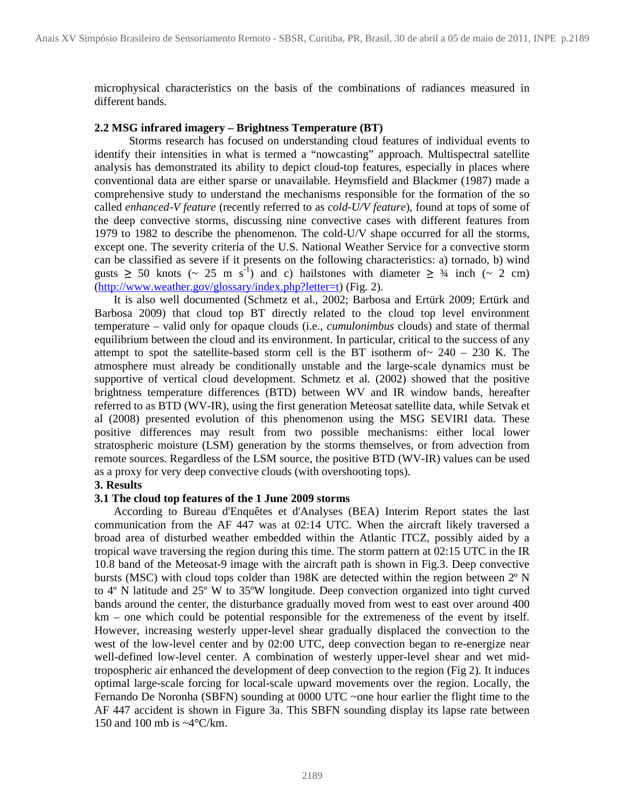microphysical characteristics on the basis of the combinations of radiances measured in different bands.

#### **2.2 MSG infrared imagery – Brightness Temperature (BT)**

Storms research has focused on understanding cloud features of individual events to identify their intensities in what is termed a "nowcasting" approach. Multispectral satellite analysis has demonstrated its ability to depict cloud-top features, especially in places where conventional data are either sparse or unavailable. Heymsfield and Blackmer (1987) made a comprehensive study to understand the mechanisms responsible for the formation of the so called *enhanced-V feature* (recently referred to as *cold-U/V feature*), found at tops of some of the deep convective storms, discussing nine convective cases with different features from 1979 to 1982 to describe the phenomenon. The cold-U/V shape occurred for all the storms, except one. The severity criteria of the U.S. National Weather Service for a convective storm can be classified as severe if it presents on the following characteristics: a) tornado, b) wind gusts  $\geq$  50 knots (~ 25 m s<sup>-1</sup>) and c) hailstones with diameter  $\geq$  3/4 inch (~ 2 cm) (http://www.weather.gov/glossary/index.php?letter=t) (Fig. 2).

It is also well documented (Schmetz et al., 2002; Barbosa and Ertürk 2009; Ertürk and Barbosa 2009) that cloud top BT directly related to the cloud top level environment temperature – valid only for opaque clouds (i.e., *cumulonimbus* clouds) and state of thermal equilibrium between the cloud and its environment. In particular, critical to the success of any attempt to spot the satellite-based storm cell is the BT isotherm of  $\sim 240 - 230$  K. The atmosphere must already be conditionally unstable and the large-scale dynamics must be supportive of vertical cloud development. Schmetz et al. (2002) showed that the positive brightness temperature differences (BTD) between WV and IR window bands, hereafter referred to as BTD (WV-IR), using the first generation Meteosat satellite data, while Setvak et al (2008) presented evolution of this phenomenon using the MSG SEVIRI data. These positive differences may result from two possible mechanisms: either local lower stratospheric moisture (LSM) generation by the storms themselves, or from advection from remote sources. Regardless of the LSM source, the positive BTD (WV-IR) values can be used as a proxy for very deep convective clouds (with overshooting tops).

## **3. Results**

## **3.1 The cloud top features of the 1 June 2009 storms**

According to Bureau d'Enquêtes et d'Analyses (BEA) Interim Report states the last communication from the AF 447 was at 02:14 UTC. When the aircraft likely traversed a broad area of disturbed weather embedded within the Atlantic ITCZ, possibly aided by a tropical wave traversing the region during this time. The storm pattern at 02:15 UTC in the IR 10.8 band of the Meteosat-9 image with the aircraft path is shown in Fig.3. Deep convective bursts (MSC) with cloud tops colder than 198K are detected within the region between 2º N to 4º N latitude and 25º W to 35ºW longitude. Deep convection organized into tight curved bands around the center, the disturbance gradually moved from west to east over around 400 km – one which could be potential responsible for the extremeness of the event by itself. However, increasing westerly upper-level shear gradually displaced the convection to the west of the low-level center and by 02:00 UTC, deep convection began to re-energize near well-defined low-level center. A combination of westerly upper-level shear and wet midtropospheric air enhanced the development of deep convection to the region (Fig 2). It induces optimal large-scale forcing for local-scale upward movements over the region. Locally, the Fernando De Noronha (SBFN) sounding at 0000 UTC ~one hour earlier the flight time to the AF 447 accident is shown in Figure 3a. This SBFN sounding display its lapse rate between 150 and 100 mb is ~4°C/km.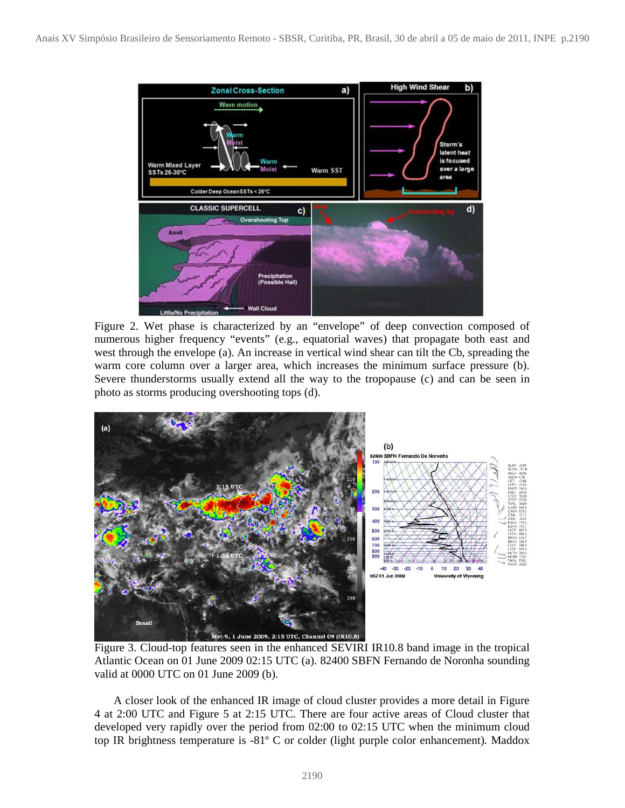

Figure 2. Wet phase is characterized by an "envelope" of deep convection composed of numerous higher frequency "events" (e.g., equatorial waves) that propagate both east and west through the envelope (a). An increase in vertical wind shear can tilt the Cb, spreading the warm core column over a larger area, which increases the minimum surface pressure (b). Severe thunderstorms usually extend all the way to the tropopause (c) and can be seen in photo as storms producing overshooting tops (d).



Figure 3. Cloud-top features seen in the enhanced SEVIRI IR10.8 band image in the tropical Atlantic Ocean on 01 June 2009 02:15 UTC (a). 82400 SBFN Fernando de Noronha sounding valid at 0000 UTC on 01 June 2009 (b).

A closer look of the enhanced IR image of cloud cluster provides a more detail in Figure 4 at 2:00 UTC and Figure 5 at 2:15 UTC. There are four active areas of Cloud cluster that developed very rapidly over the period from 02:00 to 02:15 UTC when the minimum cloud top IR brightness temperature is -81º C or colder (light purple color enhancement). Maddox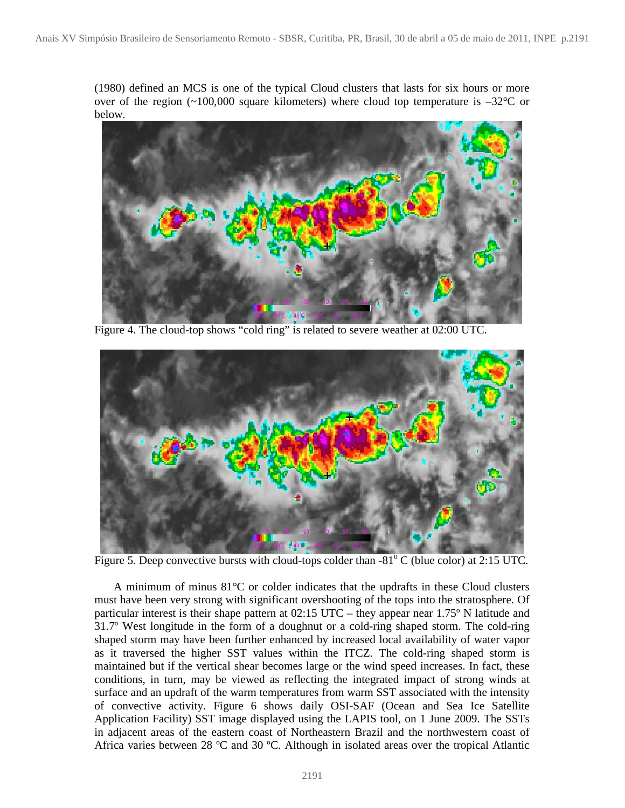(1980) defined an MCS is one of the typical Cloud clusters that lasts for six hours or more over of the region  $\sim 100,000$  square kilometers) where cloud top temperature is  $-32^{\circ}$ C or below.



Figure 4. The cloud-top shows "cold ring" is related to severe weather at 02:00 UTC.



Figure 5. Deep convective bursts with cloud-tops colder than  $-81^{\circ}$  C (blue color) at 2:15 UTC.

A minimum of minus 81°C or colder indicates that the updrafts in these Cloud clusters must have been very strong with significant overshooting of the tops into the stratosphere. Of particular interest is their shape pattern at 02:15 UTC – they appear near 1.75º N latitude and 31.7º West longitude in the form of a doughnut or a cold-ring shaped storm. The cold-ring shaped storm may have been further enhanced by increased local availability of water vapor as it traversed the higher SST values within the ITCZ. The cold-ring shaped storm is maintained but if the vertical shear becomes large or the wind speed increases. In fact, these conditions, in turn, may be viewed as reflecting the integrated impact of strong winds at surface and an updraft of the warm temperatures from warm SST associated with the intensity of convective activity. Figure 6 shows daily OSI-SAF (Ocean and Sea Ice Satellite Application Facility) SST image displayed using the LAPIS tool, on 1 June 2009. The SSTs in adjacent areas of the eastern coast of Northeastern Brazil and the northwestern coast of Africa varies between 28 ºC and 30 ºC. Although in isolated areas over the tropical Atlantic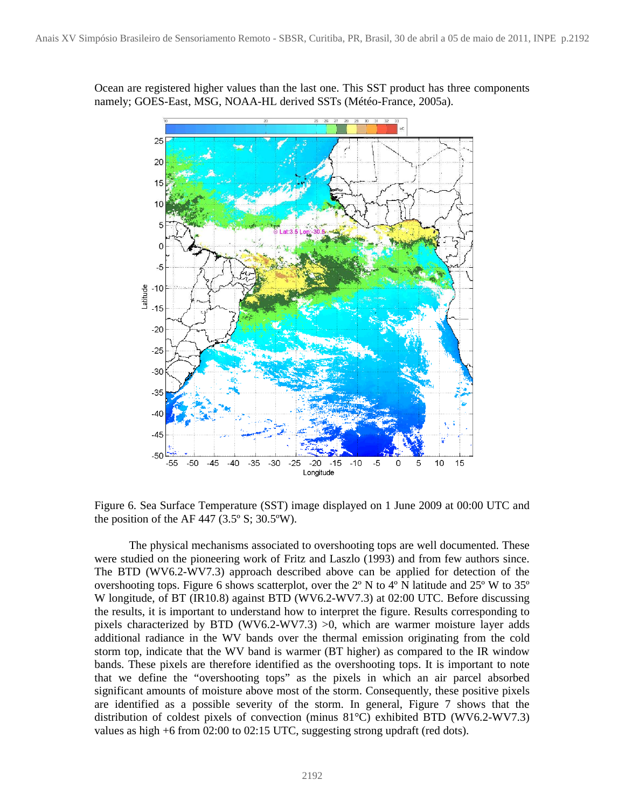

Ocean are registered higher values than the last one. This SST product has three components namely; GOES-East, MSG, NOAA-HL derived SSTs (Météo-France, 2005a).

Figure 6. Sea Surface Temperature (SST) image displayed on 1 June 2009 at 00:00 UTC and the position of the AF 447 (3.5 $\degree$  S; 30.5 $\degree$ W).

The physical mechanisms associated to overshooting tops are well documented. These were studied on the pioneering work of Fritz and Laszlo (1993) and from few authors since. The BTD (WV6.2-WV7.3) approach described above can be applied for detection of the overshooting tops. Figure 6 shows scatterplot, over the 2º N to 4º N latitude and 25º W to 35º W longitude, of BT (IR10.8) against BTD (WV6.2-WV7.3) at 02:00 UTC. Before discussing the results, it is important to understand how to interpret the figure. Results corresponding to pixels characterized by BTD (WV6.2-WV7.3) >0, which are warmer moisture layer adds additional radiance in the WV bands over the thermal emission originating from the cold storm top, indicate that the WV band is warmer (BT higher) as compared to the IR window bands. These pixels are therefore identified as the overshooting tops. It is important to note that we define the "overshooting tops" as the pixels in which an air parcel absorbed significant amounts of moisture above most of the storm. Consequently, these positive pixels are identified as a possible severity of the storm. In general, Figure 7 shows that the distribution of coldest pixels of convection (minus 81°C) exhibited BTD (WV6.2-WV7.3) values as high +6 from 02:00 to 02:15 UTC, suggesting strong updraft (red dots).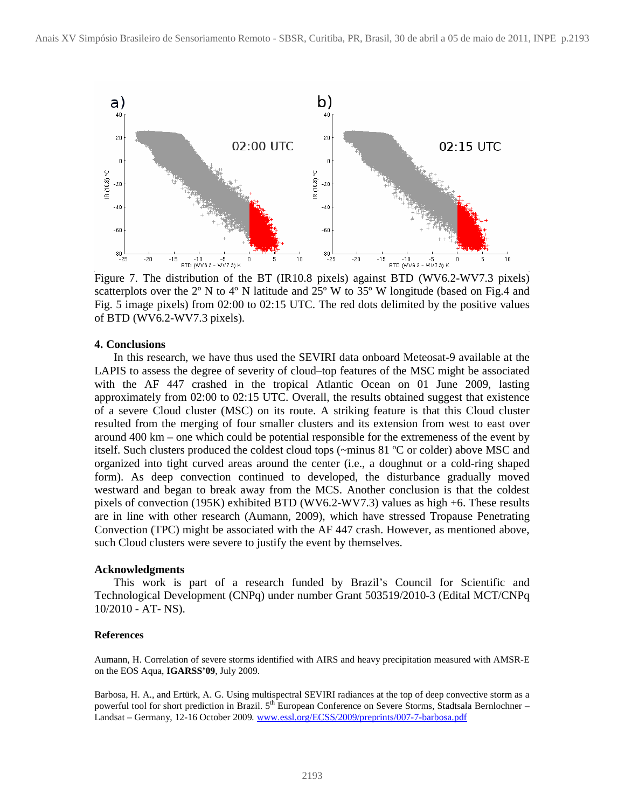

Figure 7. The distribution of the BT (IR10.8 pixels) against BTD (WV6.2-WV7.3 pixels) scatterplots over the 2<sup>°</sup> N to 4<sup>°</sup> N latitude and 25<sup>°</sup> W to 35<sup>°</sup> W longitude (based on Fig.4 and Fig. 5 image pixels) from 02:00 to 02:15 UTC. The red dots delimited by the positive values of BTD (WV6.2-WV7.3 pixels).

#### **4. Conclusions**

In this research, we have thus used the SEVIRI data onboard Meteosat-9 available at the LAPIS to assess the degree of severity of cloud–top features of the MSC might be associated with the AF 447 crashed in the tropical Atlantic Ocean on 01 June 2009, lasting approximately from 02:00 to 02:15 UTC. Overall, the results obtained suggest that existence of a severe Cloud cluster (MSC) on its route. A striking feature is that this Cloud cluster resulted from the merging of four smaller clusters and its extension from west to east over around 400 km – one which could be potential responsible for the extremeness of the event by itself. Such clusters produced the coldest cloud tops (~minus 81 ºC or colder) above MSC and organized into tight curved areas around the center (i.e., a doughnut or a cold-ring shaped form). As deep convection continued to developed, the disturbance gradually moved westward and began to break away from the MCS. Another conclusion is that the coldest pixels of convection (195K) exhibited BTD (WV6.2-WV7.3) values as high +6. These results are in line with other research (Aumann, 2009), which have stressed Tropause Penetrating Convection (TPC) might be associated with the AF 447 crash. However, as mentioned above, such Cloud clusters were severe to justify the event by themselves.

#### **Acknowledgments**

This work is part of a research funded by Brazil's Council for Scientific and Technological Development (CNPq) under number Grant 503519/2010-3 (Edital MCT/CNPq 10/2010 - AT- NS).

#### **References**

Aumann, H. Correlation of severe storms identified with AIRS and heavy precipitation measured with AMSR-E on the EOS Aqua, **IGARSS'09**, July 2009.

Barbosa, H. A., and Ertürk, A. G. Using multispectral SEVIRI radiances at the top of deep convective storm as a powerful tool for short prediction in Brazil. 5<sup>th</sup> European Conference on Severe Storms, Stadtsala Bernlochner – Landsat – Germany, 12-16 October 2009*.* www.essl.org/ECSS/2009/preprints/007-7-barbosa.pdf